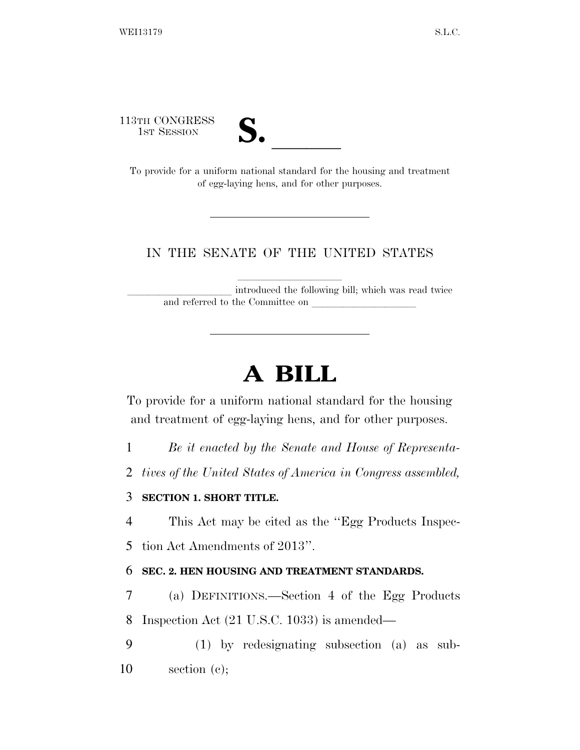113TH CONGRESS



1STH CONGRESS<br>
1ST SESSION<br>
To provide for a uniform national standard for the housing and treatment of egg-laying hens, and for other purposes.

#### IN THE SENATE OF THE UNITED STATES

introduced the following bill; which was read twice and referred to the Committee on

# **A BILL**

To provide for a uniform national standard for the housing and treatment of egg-laying hens, and for other purposes.

1 *Be it enacted by the Senate and House of Representa-*

2 *tives of the United States of America in Congress assembled,* 

#### 3 **SECTION 1. SHORT TITLE.**

4 This Act may be cited as the ''Egg Products Inspec-

5 tion Act Amendments of 2013''.

#### 6 **SEC. 2. HEN HOUSING AND TREATMENT STANDARDS.**

7 (a) DEFINITIONS.—Section 4 of the Egg Products

8 Inspection Act (21 U.S.C. 1033) is amended—

9 (1) by redesignating subsection (a) as sub-10 section (c);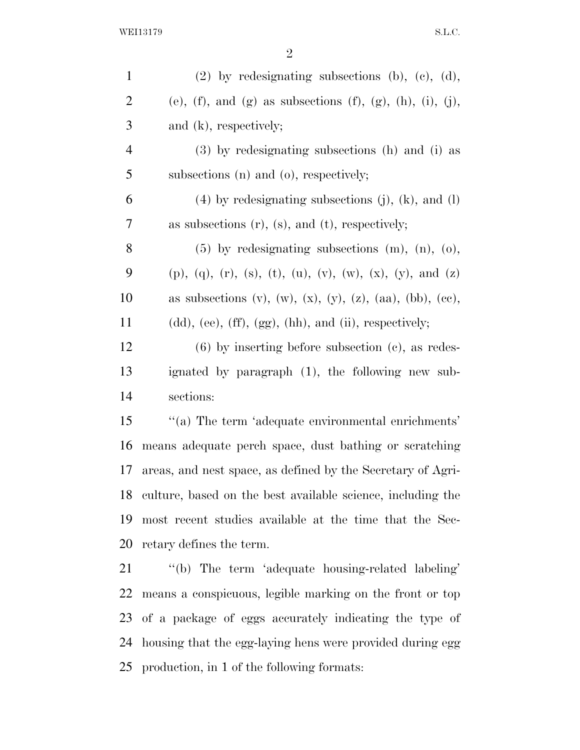| $\mathbf{1}$   | $(2)$ by redesignating subsections $(b)$ , $(c)$ , $(d)$ ,                                |
|----------------|-------------------------------------------------------------------------------------------|
| $\overline{2}$ | (e), (f), and (g) as subsections (f), (g), (h), (i), (j),                                 |
| 3              | and $(k)$ , respectively;                                                                 |
| $\overline{4}$ | (3) by redesignating subsections (h) and (i) as                                           |
| 5              | subsections (n) and (o), respectively;                                                    |
| 6              | $(4)$ by redesignating subsections (j), (k), and (l)                                      |
| 7              | as subsections $(r)$ , $(s)$ , and $(t)$ , respectively;                                  |
| 8              | $(5)$ by redesignating subsections $(m)$ , $(n)$ , $(o)$ ,                                |
| 9              | $(p)$ , $(q)$ , $(r)$ , $(s)$ , $(t)$ , $(u)$ , $(v)$ , $(w)$ , $(x)$ , $(y)$ , and $(z)$ |
| 10             | as subsections $(v)$ , $(w)$ , $(x)$ , $(y)$ , $(z)$ , $(aa)$ , $(bb)$ , $(ce)$ ,         |
| 11             | $(dd),$ (ee), $(ff), (gg), (hh),$ and $(ii),$ respectively;                               |
| 12             | $(6)$ by inserting before subsection $(e)$ , as redes-                                    |
| 13             | ignated by paragraph (1), the following new sub-                                          |
| 14             | sections:                                                                                 |
| 15             | "(a) The term 'adequate environmental enrichments'                                        |
| 16             | means adequate perch space, dust bathing or scratching                                    |
| 17             | areas, and nest space, as defined by the Secretary of Agri-                               |
| 18             | culture, based on the best available science, including the                               |
| 19             | most recent studies available at the time that the Sec-                                   |
| 20             | retary defines the term.                                                                  |
| 21             | "(b) The term 'adequate housing-related labeling'                                         |
| <u>22</u>      | means a conspicuous, legible marking on the front or top                                  |
| 23             | of a package of eggs accurately indicating the type of                                    |
| 24             | housing that the egg-laying hens were provided during egg                                 |
| 25             | production, in 1 of the following formats:                                                |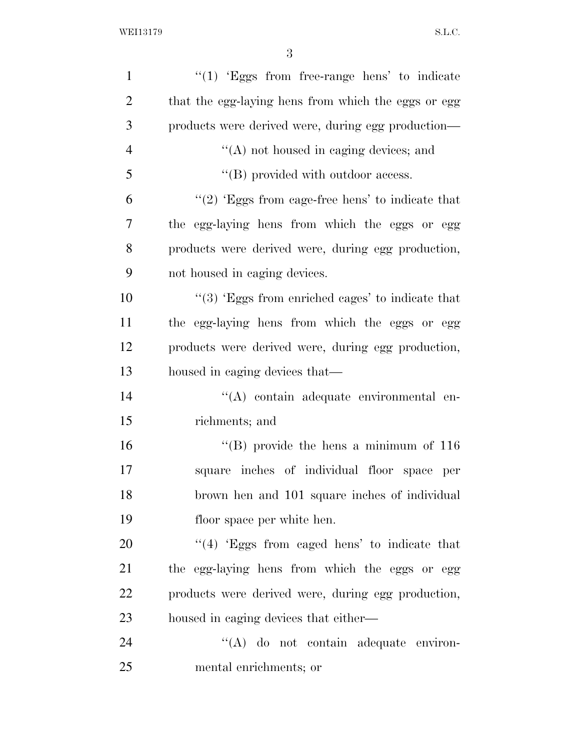| $\mathbf{1}$   | " $(1)$ 'Eggs from free-range hens' to indicate             |
|----------------|-------------------------------------------------------------|
| $\overline{2}$ | that the egg-laying hens from which the eggs or egg         |
| 3              | products were derived were, during egg production—          |
| $\overline{4}$ | $\lq\lq$ not housed in caging devices; and                  |
| 5              | $\lq\lq$ (B) provided with outdoor access.                  |
| 6              | " $(2)$ 'Eggs from cage-free hens' to indicate that         |
| 7              | the egg-laying hens from which the eggs or egg              |
| 8              | products were derived were, during egg production,          |
| 9              | not housed in caging devices.                               |
| 10             | $\cdot\cdot$ (3) Eggs from enriched cages' to indicate that |
| 11             | the egg-laying hens from which the eggs or egg              |
| 12             | products were derived were, during egg production,          |
| 13             | housed in caging devices that—                              |
| 14             | "(A) contain adequate environmental en-                     |
| 15             | richments; and                                              |
| 16             | "(B) provide the hens a minimum of $116$                    |
| 17             | square inches of individual floor space<br>per              |
| 18             | brown hen and 101 square inches of individual               |
| 19             | floor space per white hen.                                  |
| 20             | $\cdot$ (4) Eggs from caged hens' to indicate that          |
| 21             | the egg-laying hens from which the eggs or egg              |
| 22             | products were derived were, during egg production,          |
| 23             | housed in caging devices that either—                       |
| 24             | "(A) do not contain adequate environ-                       |
| 25             | mental enrichments; or                                      |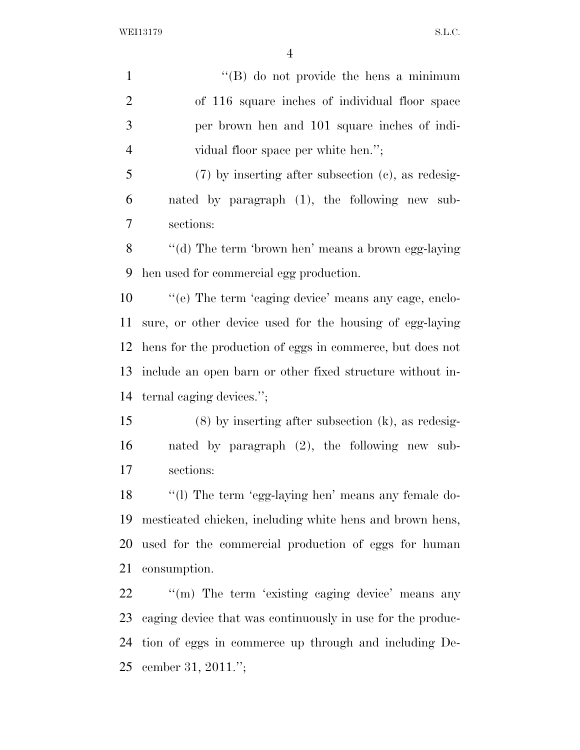1 ''(B) do not provide the hens a minimum of 116 square inches of individual floor space per brown hen and 101 square inches of indi- vidual floor space per white hen.''; (7) by inserting after subsection (c), as redesig- nated by paragraph (1), the following new sub- sections: ''(d) The term 'brown hen' means a brown egg-laying hen used for commercial egg production.  $\%$  (e) The term 'caging device' means any cage, enclo- sure, or other device used for the housing of egg-laying hens for the production of eggs in commerce, but does not include an open barn or other fixed structure without in- ternal caging devices.''; (8) by inserting after subsection (k), as redesig- nated by paragraph (2), the following new sub- sections: ''(l) The term 'egg-laying hen' means any female do- mesticated chicken, including white hens and brown hens, used for the commercial production of eggs for human consumption.  $\qquad$  "(m) The term 'existing caging device' means any caging device that was continuously in use for the produc-tion of eggs in commerce up through and including De-

cember 31, 2011.'';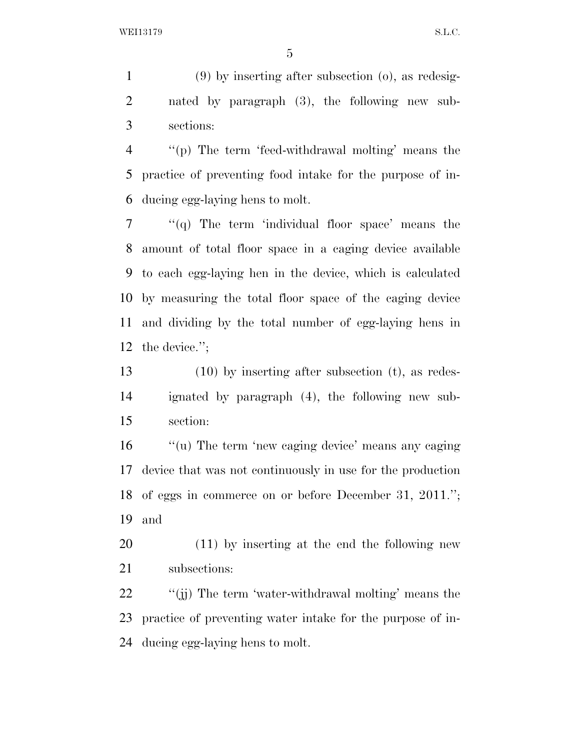(9) by inserting after subsection (o), as redesig- nated by paragraph (3), the following new sub-sections:

 ''(p) The term 'feed-withdrawal molting' means the practice of preventing food intake for the purpose of in-ducing egg-laying hens to molt.

 "(q) The term 'individual floor space' means the amount of total floor space in a caging device available to each egg-laying hen in the device, which is calculated by measuring the total floor space of the caging device and dividing by the total number of egg-laying hens in the device.'';

 (10) by inserting after subsection (t), as redes- ignated by paragraph (4), the following new sub-section:

16 "(u) The term 'new caging device' means any caging device that was not continuously in use for the production of eggs in commerce on or before December 31, 2011.''; and

 (11) by inserting at the end the following new subsections:

22 ''(j) The term 'water-withdrawal molting' means the practice of preventing water intake for the purpose of in-ducing egg-laying hens to molt.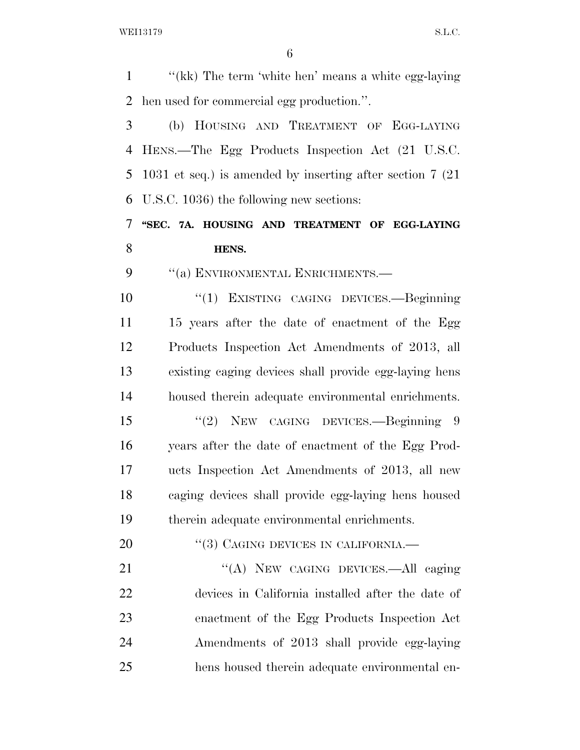''(kk) The term 'white hen' means a white egg-laying hen used for commercial egg production.''. (b) HOUSING AND TREATMENT OF EGG-LAYING HENS.—The Egg Products Inspection Act (21 U.S.C. 1031 et seq.) is amended by inserting after section 7 (21 U.S.C. 1036) the following new sections: **''SEC. 7A. HOUSING AND TREATMENT OF EGG-LAYING HENS.**  9 "(a) ENVIRONMENTAL ENRICHMENTS.— ''(1) EXISTING CAGING DEVICES.—Beginning 11 15 years after the date of enactment of the Egg Products Inspection Act Amendments of 2013, all existing caging devices shall provide egg-laying hens housed therein adequate environmental enrichments. ''(2) NEW CAGING DEVICES.—Beginning 9 years after the date of enactment of the Egg Prod- ucts Inspection Act Amendments of 2013, all new caging devices shall provide egg-laying hens housed therein adequate environmental enrichments. 20 "(3) CAGING DEVICES IN CALIFORNIA. 21 "(A) NEW CAGING DEVICES.—All caging devices in California installed after the date of enactment of the Egg Products Inspection Act Amendments of 2013 shall provide egg-laying hens housed therein adequate environmental en-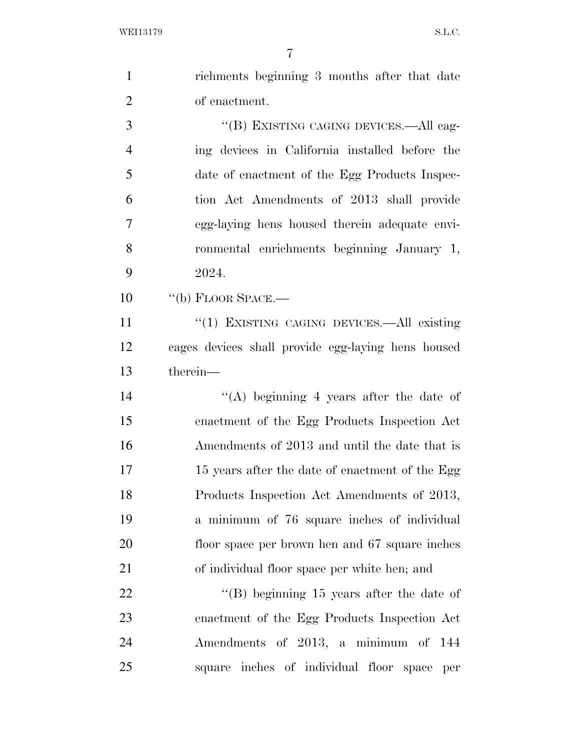richments beginning 3 months after that date of enactment. ''(B) EXISTING CAGING DEVICES.—All cag- ing devices in California installed before the date of enactment of the Egg Products Inspec- tion Act Amendments of 2013 shall provide egg-laying hens housed therein adequate envi- ronmental enrichments beginning January 1, 2024. 10 "(b) FLOOR SPACE.— 11 "(1) EXISTING CAGING DEVICES.—All existing cages devices shall provide egg-laying hens housed therein— ''(A) beginning 4 years after the date of enactment of the Egg Products Inspection Act Amendments of 2013 and until the date that is 17 15 years after the date of enactment of the Egg Products Inspection Act Amendments of 2013, a minimum of 76 square inches of individual floor space per brown hen and 67 square inches

of individual floor space per white hen; and

22 ''(B) beginning 15 years after the date of enactment of the Egg Products Inspection Act Amendments of 2013, a minimum of 144 square inches of individual floor space per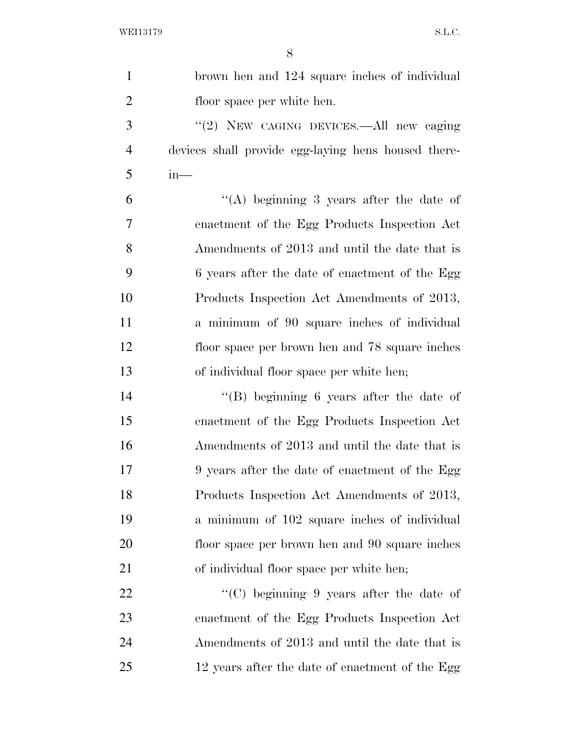| $\mathbf{1}$   | brown hen and 124 square inches of individual       |
|----------------|-----------------------------------------------------|
| $\overline{2}$ | floor space per white hen.                          |
| 3              | "(2) NEW CAGING DEVICES.—All new caging             |
| $\overline{4}$ | devices shall provide egg-laying hens housed there- |
| 5              | $in-$                                               |
| 6              | "(A) beginning 3 years after the date of            |
| 7              | enactment of the Egg Products Inspection Act        |
| 8              | Amendments of 2013 and until the date that is       |
| 9              | 6 years after the date of enactment of the Egg      |
| 10             | Products Inspection Act Amendments of 2013,         |
| 11             | a minimum of 90 square inches of individual         |
| 12             | floor space per brown hen and 78 square inches      |
| 13             | of individual floor space per white hen;            |
| 14             | "(B) beginning 6 years after the date of            |
| 15             | enactment of the Egg Products Inspection Act        |
| 16             | Amendments of 2013 and until the date that is       |
| 17             | 9 years after the date of enactment of the Egg      |
| 18             | Products Inspection Act Amendments of 2013,         |
| 19             | a minimum of 102 square inches of individual        |
| <b>20</b>      | floor space per brown hen and 90 square inches      |
| 21             | of individual floor space per white hen;            |
| 22             | "(C) beginning $9$ years after the date of          |
| 23             | enactment of the Egg Products Inspection Act        |
| 24             | Amendments of 2013 and until the date that is       |
| 25             | 12 years after the date of enactment of the Egg     |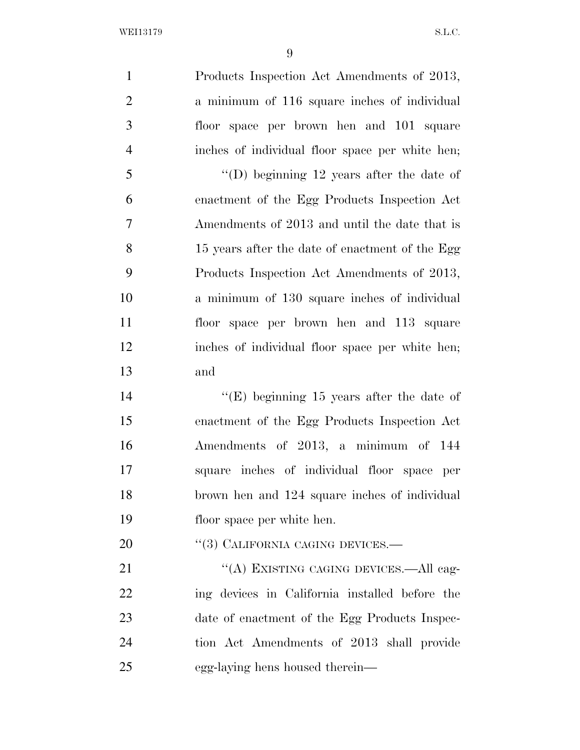Products Inspection Act Amendments of 2013, a minimum of 116 square inches of individual floor space per brown hen and 101 square inches of individual floor space per white hen;

 ''(D) beginning 12 years after the date of enactment of the Egg Products Inspection Act Amendments of 2013 and until the date that is 15 years after the date of enactment of the Egg Products Inspection Act Amendments of 2013, a minimum of 130 square inches of individual floor space per brown hen and 113 square inches of individual floor space per white hen; and

 ''(E) beginning 15 years after the date of enactment of the Egg Products Inspection Act Amendments of 2013, a minimum of 144 square inches of individual floor space per brown hen and 124 square inches of individual floor space per white hen.

20 "(3) CALIFORNIA CAGING DEVICES.—

21 "(A) EXISTING CAGING DEVICES.—All cag- ing devices in California installed before the date of enactment of the Egg Products Inspec- tion Act Amendments of 2013 shall provide egg-laying hens housed therein—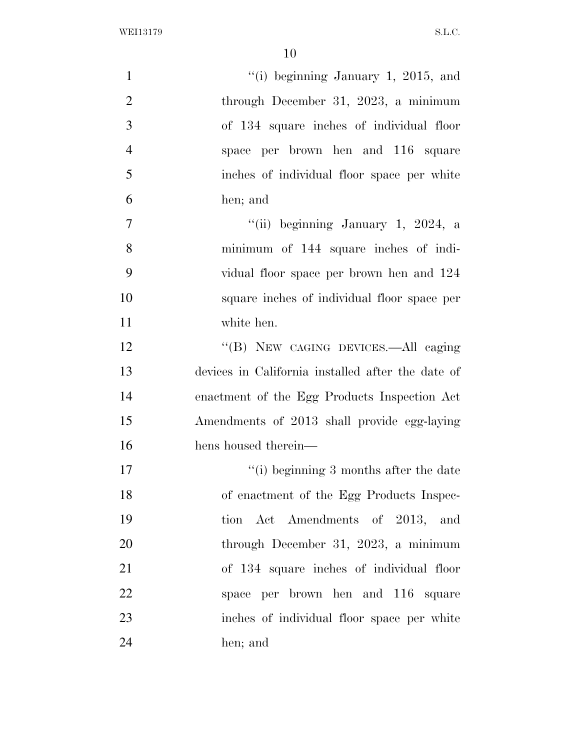| $\mathbf{1}$   | "(i) beginning January 1, 2015, and               |
|----------------|---------------------------------------------------|
| $\overline{2}$ | through December 31, 2023, a minimum              |
| 3              | of 134 square inches of individual floor          |
| $\overline{4}$ | space per brown hen and 116 square                |
| 5              | inches of individual floor space per white        |
| 6              | hen; and                                          |
| $\tau$         | "(ii) beginning January 1, 2024, a                |
| 8              | minimum of 144 square inches of indi-             |
| 9              | vidual floor space per brown hen and 124          |
| 10             | square inches of individual floor space per       |
| 11             | white hen.                                        |
| 12             | "(B) NEW CAGING DEVICES.—All caging               |
| 13             | devices in California installed after the date of |
| 14             | enactment of the Egg Products Inspection Act      |
| 15             | Amendments of 2013 shall provide egg-laying       |
| 16             | hens housed therein—                              |
| 17             | $\lq\lq$ (i) beginning 3 months after the date    |
| 18             | of enactment of the Egg Products Inspec-          |
| 19             | tion Act Amendments of 2013, and                  |
| 20             | through December 31, 2023, a minimum              |
| 21             | of 134 square inches of individual floor          |
| 22             | space per brown hen and 116 square                |
| 23             | inches of individual floor space per white        |
| 24             | hen; and                                          |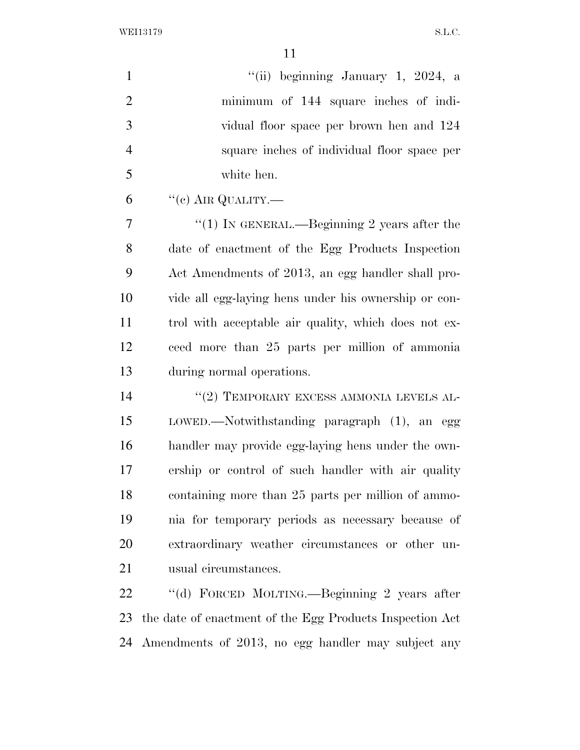| $\mathbf{1}$   | "(ii) beginning January 1, 2024, a                       |
|----------------|----------------------------------------------------------|
| $\overline{2}$ | minimum of 144 square inches of indi-                    |
| 3              | vidual floor space per brown hen and 124                 |
| $\overline{4}$ | square inches of individual floor space per              |
| 5              | white hen.                                               |
| 6              | $``(c)$ AIR QUALITY.—                                    |
| 7              | "(1) IN GENERAL.—Beginning 2 years after the             |
| 8              | date of enactment of the Egg Products Inspection         |
| 9              | Act Amendments of 2013, an egg handler shall pro-        |
| 10             | vide all egg-laying hens under his ownership or con-     |
| 11             | trol with acceptable air quality, which does not ex-     |
| 12             | ceed more than 25 parts per million of ammonia           |
| 13             | during normal operations.                                |
| 14             | $``(2)$ TEMPORARY EXCESS AMMONIA LEVELS AL-              |
| 15             | LOWED.—Notwithstanding paragraph (1), an egg             |
| 16             | handler may provide egg-laying hens under the own-       |
| 17             | ership or control of such handler with air quality       |
| 18             | containing more than 25 parts per million of ammo-       |
| 19             | nia for temporary periods as necessary because of        |
| 20             | extraordinary weather circumstances or other un-         |
| 21             | usual circumstances.                                     |
| 22             | "(d) FORCED MOLTING.—Beginning 2 years after             |
| 23             | the date of enactment of the Egg Products Inspection Act |

Amendments of 2013, no egg handler may subject any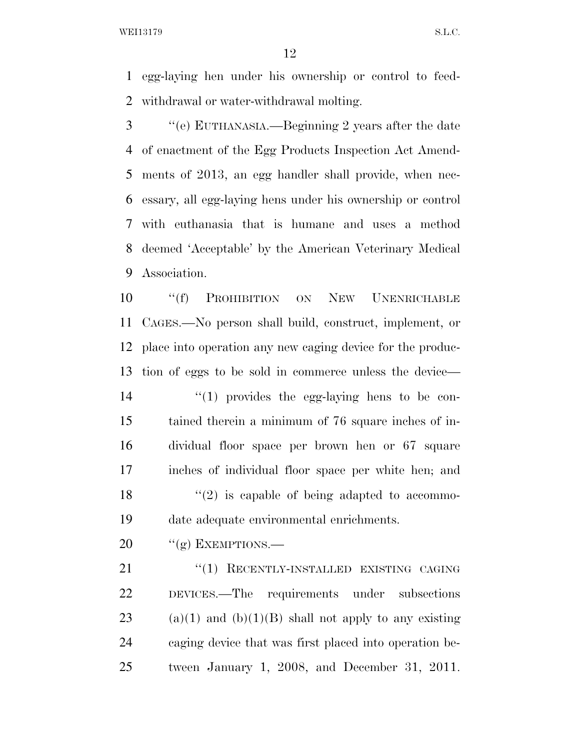egg-laying hen under his ownership or control to feed-withdrawal or water-withdrawal molting.

 ''(e) EUTHANASIA.—Beginning 2 years after the date of enactment of the Egg Products Inspection Act Amend- ments of 2013, an egg handler shall provide, when nec- essary, all egg-laying hens under his ownership or control with euthanasia that is humane and uses a method deemed 'Acceptable' by the American Veterinary Medical Association.

 ''(f) PROHIBITION ON NEW UNENRICHABLE CAGES.—No person shall build, construct, implement, or place into operation any new caging device for the produc- tion of eggs to be sold in commerce unless the device—  $\frac{1}{2}$  (1) provides the egg-laying hens to be con- tained therein a minimum of 76 square inches of in- dividual floor space per brown hen or 67 square inches of individual floor space per white hen; and  $\frac{1}{2}$  is capable of being adapted to accommo-date adequate environmental enrichments.

20  $"({g})$  EXEMPTIONS.—

21 "(1) RECENTLY-INSTALLED EXISTING CAGING DEVICES.—The requirements under subsections 23 (a)(1) and (b)(1)(B) shall not apply to any existing caging device that was first placed into operation be-tween January 1, 2008, and December 31, 2011.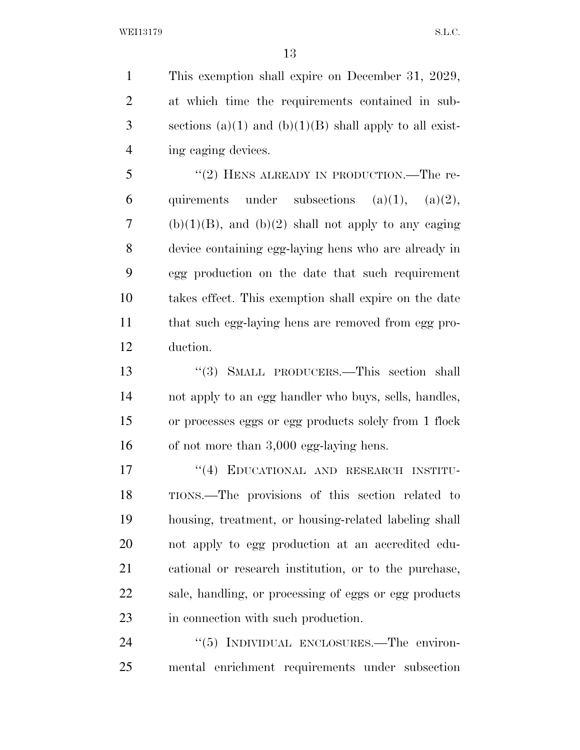This exemption shall expire on December 31, 2029, at which time the requirements contained in sub-3 sections (a)(1) and (b)(1)(B) shall apply to all exist-ing caging devices.

5 "(2) HENS ALREADY IN PRODUCTION.—The re-6 quirements under subsections  $(a)(1)$ ,  $(a)(2)$ , 7 (b)(1)(B), and (b)(2) shall not apply to any caging device containing egg-laying hens who are already in egg production on the date that such requirement takes effect. This exemption shall expire on the date that such egg-laying hens are removed from egg pro-duction.

 ''(3) SMALL PRODUCERS.—This section shall not apply to an egg handler who buys, sells, handles, or processes eggs or egg products solely from 1 flock of not more than 3,000 egg-laying hens.

17 "(4) EDUCATIONAL AND RESEARCH INSTITU- TIONS.—The provisions of this section related to housing, treatment, or housing-related labeling shall not apply to egg production at an accredited edu- cational or research institution, or to the purchase, sale, handling, or processing of eggs or egg products in connection with such production.

24 "(5) INDIVIDUAL ENCLOSURES.—The environ-mental enrichment requirements under subsection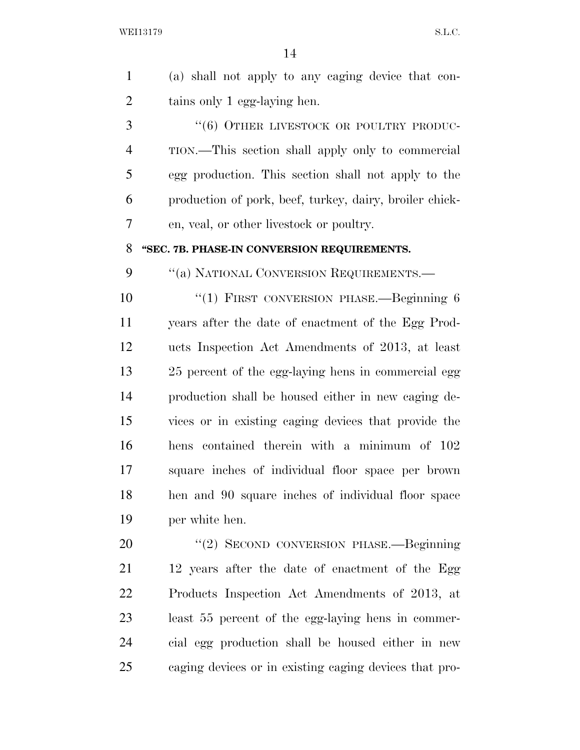| $\mathbf{1}$   | (a) shall not apply to any caging device that con-      |
|----------------|---------------------------------------------------------|
| $\overline{2}$ | tains only 1 egg-laying hen.                            |
| 3              | "(6) OTHER LIVESTOCK OR POULTRY PRODUC-                 |
| $\overline{4}$ | TION.—This section shall apply only to commercial       |
| 5              | egg production. This section shall not apply to the     |
| 6              | production of pork, beef, turkey, dairy, broiler chick- |
| $\tau$         | en, veal, or other livestock or poultry.                |
| 8              | "SEC. 7B. PHASE-IN CONVERSION REQUIREMENTS.             |
| 9              | "(a) NATIONAL CONVERSION REQUIREMENTS.-                 |
| 10             | "(1) FIRST CONVERSION PHASE.—Beginning 6                |
| 11             | years after the date of enactment of the Egg Prod-      |
| 12             | ucts Inspection Act Amendments of 2013, at least        |
| 13             | 25 percent of the egg-laying hens in commercial egg     |
| 14             | production shall be housed either in new caging de-     |
| 15             | vices or in existing caging devices that provide the    |
| 16             | hens contained therein with a minimum of 102            |
| 17             | square inches of individual floor space per brown       |
| 18             | hen and 90 square inches of individual floor space      |
| 19             | per white hen.                                          |
| 20             | "(2) SECOND CONVERSION PHASE.—Beginning                 |
| 21             | 12 years after the date of enactment of the Egg         |
| 22             | Products Inspection Act Amendments of 2013, at          |
| 23             | least 55 percent of the egg-laying hens in commer-      |

cial egg production shall be housed either in new

caging devices or in existing caging devices that pro-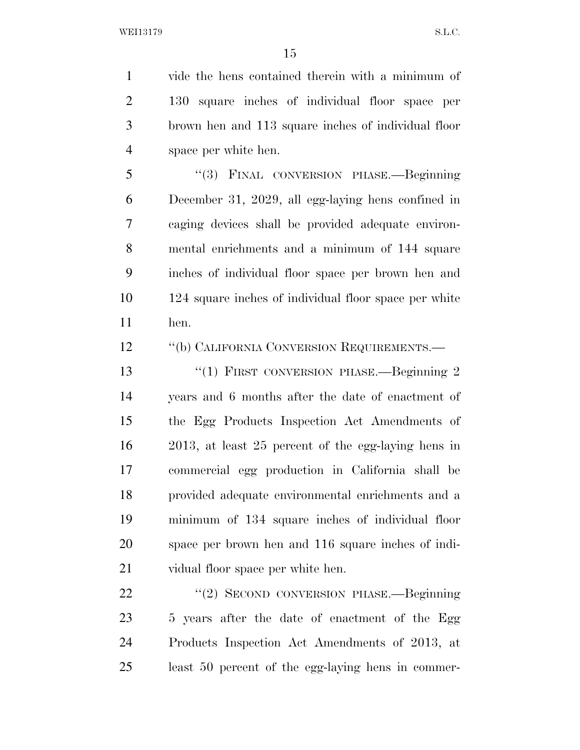vide the hens contained therein with a minimum of 130 square inches of individual floor space per brown hen and 113 square inches of individual floor space per white hen.

 ''(3) FINAL CONVERSION PHASE.—Beginning December 31, 2029, all egg-laying hens confined in caging devices shall be provided adequate environ- mental enrichments and a minimum of 144 square inches of individual floor space per brown hen and 124 square inches of individual floor space per white hen.

12 "(b) CALIFORNIA CONVERSION REQUIREMENTS.—

13 "(1) FIRST CONVERSION PHASE.—Beginning 2 years and 6 months after the date of enactment of the Egg Products Inspection Act Amendments of 2013, at least 25 percent of the egg-laying hens in commercial egg production in California shall be provided adequate environmental enrichments and a minimum of 134 square inches of individual floor space per brown hen and 116 square inches of indi-vidual floor space per white hen.

 ''(2) SECOND CONVERSION PHASE.—Beginning 5 years after the date of enactment of the Egg Products Inspection Act Amendments of 2013, at least 50 percent of the egg-laying hens in commer-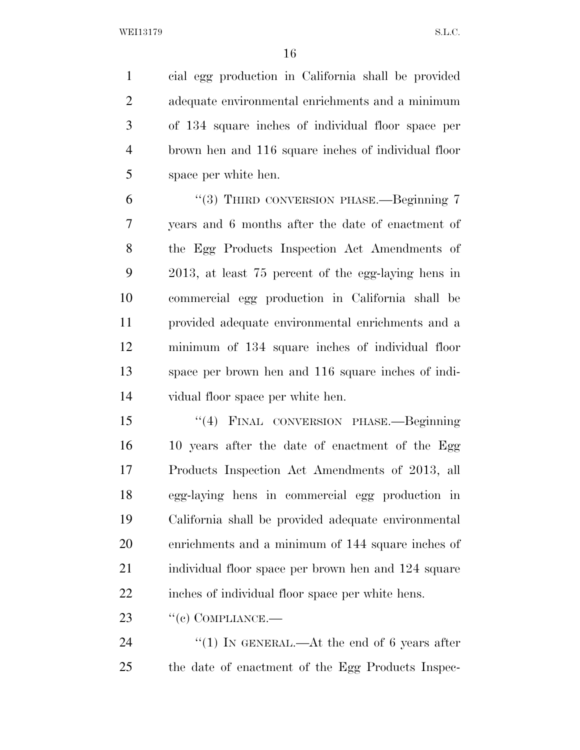cial egg production in California shall be provided adequate environmental enrichments and a minimum of 134 square inches of individual floor space per brown hen and 116 square inches of individual floor space per white hen.

6 "(3) THIRD CONVERSION PHASE.—Beginning 7 years and 6 months after the date of enactment of the Egg Products Inspection Act Amendments of 2013, at least 75 percent of the egg-laying hens in commercial egg production in California shall be provided adequate environmental enrichments and a minimum of 134 square inches of individual floor space per brown hen and 116 square inches of indi-vidual floor space per white hen.

 ''(4) FINAL CONVERSION PHASE.—Beginning 16 10 years after the date of enactment of the Egg Products Inspection Act Amendments of 2013, all egg-laying hens in commercial egg production in California shall be provided adequate environmental enrichments and a minimum of 144 square inches of individual floor space per brown hen and 124 square inches of individual floor space per white hens.

23 "(c) COMPLIANCE.—

24 "(1) IN GENERAL.—At the end of 6 years after the date of enactment of the Egg Products Inspec-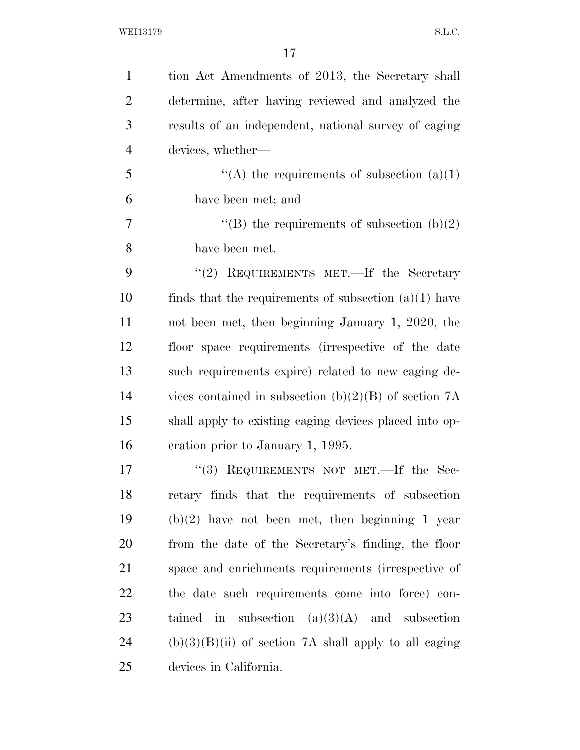| $\mathbf{1}$   | tion Act Amendments of 2013, the Secretary shall        |
|----------------|---------------------------------------------------------|
| $\overline{2}$ | determine, after having reviewed and analyzed the       |
| 3              | results of an independent, national survey of caging    |
| $\overline{4}$ | devices, whether—                                       |
| 5              | "(A) the requirements of subsection $(a)(1)$            |
| 6              | have been met; and                                      |
| 7              | "(B) the requirements of subsection $(b)(2)$            |
| 8              | have been met.                                          |
| 9              | "(2) REQUIREMENTS MET.—If the Secretary                 |
| 10             | finds that the requirements of subsection $(a)(1)$ have |
| 11             | not been met, then beginning January 1, 2020, the       |
| 12             | floor space requirements (irrespective of the date      |
| 13             | such requirements expire) related to new caging de-     |
| 14             | vices contained in subsection (b)(2)(B) of section $7A$ |
| 15             | shall apply to existing caging devices placed into op-  |
| 16             | eration prior to January 1, 1995.                       |
| 17             | REQUIREMENTS NOT MET. If the Sec-<br>(3)                |
| 18             | retary finds that the requirements of subsection        |
| 19             | $(b)(2)$ have not been met, then beginning 1 year       |
| 20             | from the date of the Secretary's finding, the floor     |
| 21             | space and enrichments requirements (irrespective of     |
| 22             | the date such requirements come into force) con-        |
| 23             | tained in subsection $(a)(3)(A)$ and subsection         |
| 24             | $(b)(3)(B)(ii)$ of section 7A shall apply to all caging |
| 25             | devices in California.                                  |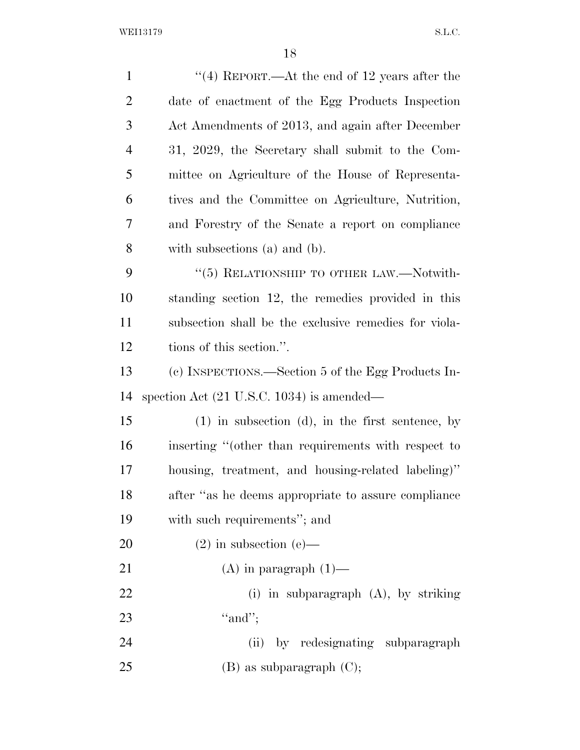| $\mathbf{1}$   | "(4) REPORT.—At the end of 12 years after the         |
|----------------|-------------------------------------------------------|
| $\overline{2}$ | date of enactment of the Egg Products Inspection      |
| 3              | Act Amendments of 2013, and again after December      |
| $\overline{4}$ | 31, 2029, the Secretary shall submit to the Com-      |
| 5              | mittee on Agriculture of the House of Representa-     |
| 6              | tives and the Committee on Agriculture, Nutrition,    |
| 7              | and Forestry of the Senate a report on compliance     |
| 8              | with subsections (a) and (b).                         |
| 9              | "(5) RELATIONSHIP TO OTHER LAW.—Notwith-              |
| 10             | standing section 12, the remedies provided in this    |
| 11             | subsection shall be the exclusive remedies for viola- |
| 12             | tions of this section.".                              |
| 13             | (c) INSPECTIONS.—Section 5 of the Egg Products In-    |
| 14             | spection Act $(21 \text{ U.S.C. } 1034)$ is amended—  |
| 15             | $(1)$ in subsection $(d)$ , in the first sentence, by |
| 16             | inserting "(other than requirements with respect to   |
| 17             | housing, treatment, and housing-related labeling)"    |
| 18             | after "as he deems appropriate to assure compliance   |
| 19             | with such requirements"; and                          |
| 20             | $(2)$ in subsection $(e)$ —                           |
| 21             | $(A)$ in paragraph $(1)$ —                            |
| 22             | (i) in subparagraph $(A)$ , by striking               |
| 23             | "and";                                                |
| 24             | by redesignating subparagraph<br>(ii)                 |
| 25             | $(B)$ as subparagraph $(C)$ ;                         |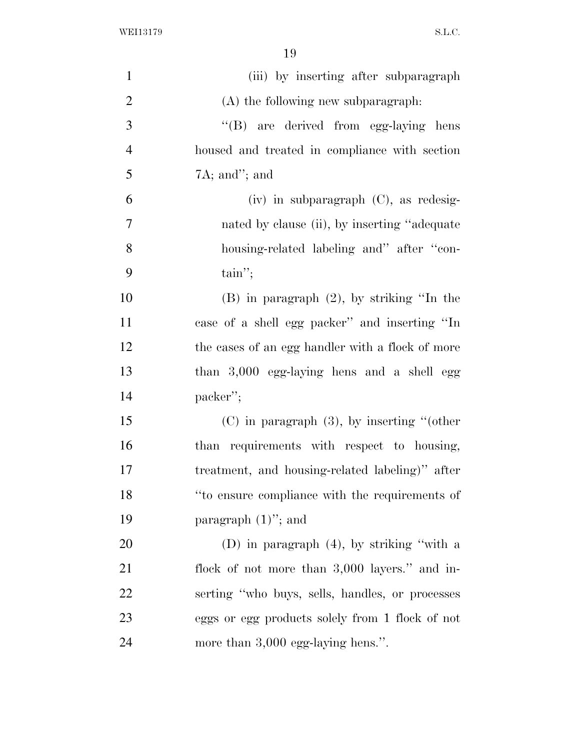| $\mathbf{1}$   | (iii) by inserting after subparagraph            |
|----------------|--------------------------------------------------|
| $\overline{2}$ | (A) the following new subparagraph.              |
| 3              | "(B) are derived from egg-laying hens            |
| $\overline{4}$ | housed and treated in compliance with section    |
| 5              | $7A$ ; and"; and                                 |
| 6              | $(iv)$ in subparagraph $(C)$ , as redesig-       |
| $\overline{7}$ | nated by clause (ii), by inserting "adequate"    |
| 8              | housing-related labeling and" after "con-        |
| 9              | $\text{tain''};$                                 |
| 10             | $(B)$ in paragraph $(2)$ , by striking "In the   |
| 11             | case of a shell egg packer" and inserting "In    |
| 12             | the cases of an egg handler with a flock of more |
| 13             | than 3,000 egg-laying hens and a shell egg       |
| 14             | packer";                                         |
| 15             | $(C)$ in paragraph $(3)$ , by inserting "(other  |
| 16             | than requirements with respect to housing,       |
| 17             | treatment, and housing-related labeling)" after  |
| 18             | "to ensure compliance with the requirements of   |
| 19             | paragraph $(1)$ "; and                           |
| 20             | (D) in paragraph $(4)$ , by striking "with a     |
| 21             | flock of not more than 3,000 layers." and in-    |
| 22             | serting "who buys, sells, handles, or processes  |
| 23             | eggs or egg products solely from 1 flock of not  |
| 24             | more than $3,000$ egg-laying hens.".             |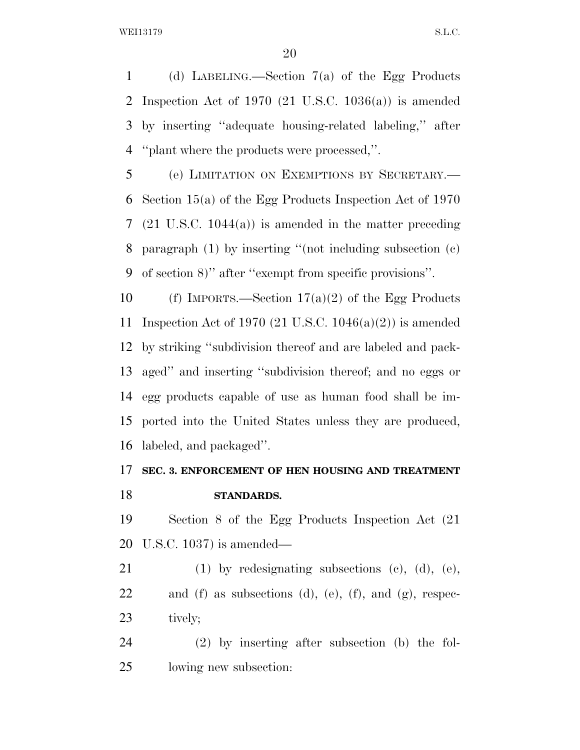(d) LABELING.—Section 7(a) of the Egg Products Inspection Act of 1970 (21 U.S.C. 1036(a)) is amended by inserting ''adequate housing-related labeling,'' after ''plant where the products were processed,''.

 (e) LIMITATION ON EXEMPTIONS BY SECRETARY.— Section 15(a) of the Egg Products Inspection Act of 1970 (21 U.S.C. 1044(a)) is amended in the matter preceding paragraph (1) by inserting ''(not including subsection (c) of section 8)'' after ''exempt from specific provisions''.

10 (f) IMPORTS.—Section  $17(a)(2)$  of the Egg Products Inspection Act of 1970 (21 U.S.C. 1046(a)(2)) is amended by striking ''subdivision thereof and are labeled and pack- aged'' and inserting ''subdivision thereof; and no eggs or egg products capable of use as human food shall be im- ported into the United States unless they are produced, labeled, and packaged''.

## **SEC. 3. ENFORCEMENT OF HEN HOUSING AND TREATMENT STANDARDS.**

 Section 8 of the Egg Products Inspection Act (21 U.S.C. 1037) is amended—

 (1) by redesignating subsections (c), (d), (e), 22 and (f) as subsections (d), (e), (f), and (g), respec-tively;

 (2) by inserting after subsection (b) the fol-lowing new subsection: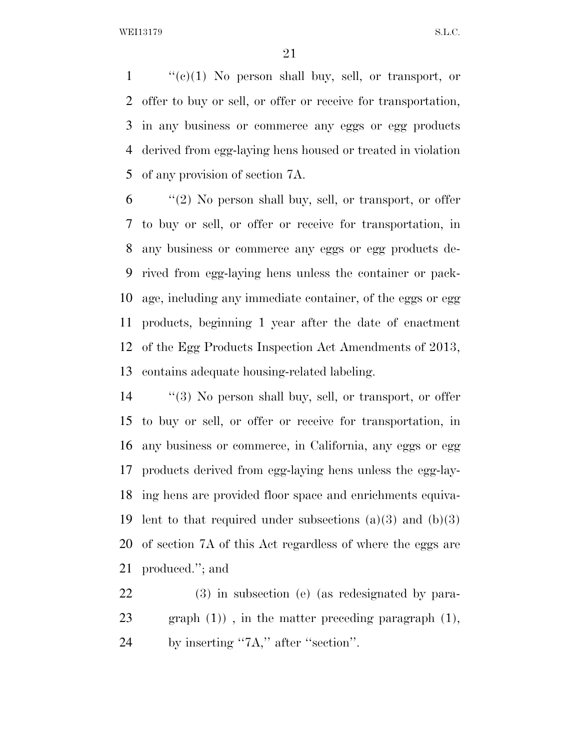''(e)(1) No person shall buy, sell, or transport, or offer to buy or sell, or offer or receive for transportation, in any business or commerce any eggs or egg products derived from egg-laying hens housed or treated in violation of any provision of section 7A.

 ''(2) No person shall buy, sell, or transport, or offer to buy or sell, or offer or receive for transportation, in any business or commerce any eggs or egg products de- rived from egg-laying hens unless the container or pack- age, including any immediate container, of the eggs or egg products, beginning 1 year after the date of enactment of the Egg Products Inspection Act Amendments of 2013, contains adequate housing-related labeling.

 ''(3) No person shall buy, sell, or transport, or offer to buy or sell, or offer or receive for transportation, in any business or commerce, in California, any eggs or egg products derived from egg-laying hens unless the egg-lay- ing hens are provided floor space and enrichments equiva-19 lent to that required under subsections  $(a)(3)$  and  $(b)(3)$  of section 7A of this Act regardless of where the eggs are produced.''; and

 (3) in subsection (e) (as redesignated by para- graph (1)) , in the matter preceding paragraph (1), 24 by inserting "7A," after "section".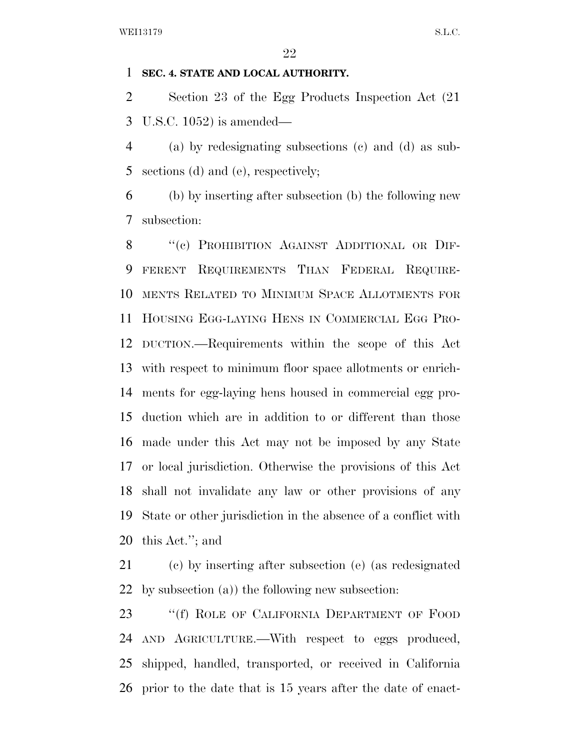#### **SEC. 4. STATE AND LOCAL AUTHORITY.**

 Section 23 of the Egg Products Inspection Act (21 U.S.C. 1052) is amended—

 (a) by redesignating subsections (c) and (d) as sub-sections (d) and (e), respectively;

 (b) by inserting after subsection (b) the following new subsection:

8 "(c) PROHIBITION AGAINST ADDITIONAL OR DIF- FERENT REQUIREMENTS THAN FEDERAL REQUIRE- MENTS RELATED TO MINIMUM SPACE ALLOTMENTS FOR HOUSING EGG-LAYING HENS IN COMMERCIAL EGG PRO- DUCTION.—Requirements within the scope of this Act with respect to minimum floor space allotments or enrich- ments for egg-laying hens housed in commercial egg pro- duction which are in addition to or different than those made under this Act may not be imposed by any State or local jurisdiction. Otherwise the provisions of this Act shall not invalidate any law or other provisions of any State or other jurisdiction in the absence of a conflict with this Act.''; and

 (c) by inserting after subsection (e) (as redesignated by subsection (a)) the following new subsection:

23 "If The OF CALIFORNIA DEPARTMENT OF FOOD AND AGRICULTURE.—With respect to eggs produced, shipped, handled, transported, or received in California prior to the date that is 15 years after the date of enact